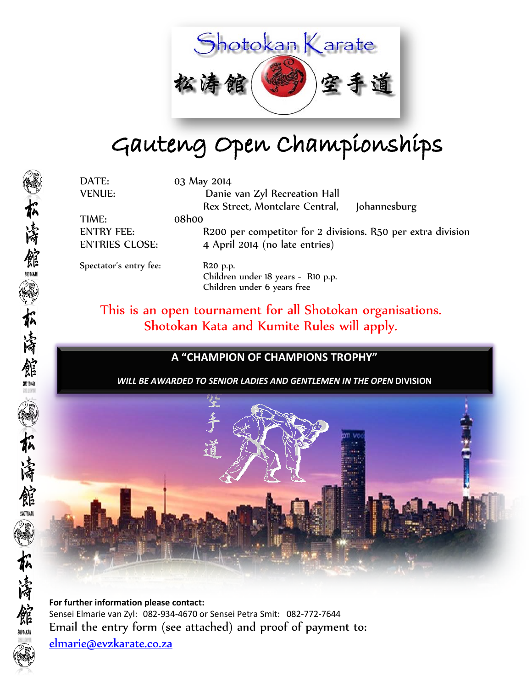

## Gauteng Open Championships

DATE: 03 May 2014 VENUE: Danie van Zyl Recreation Hall Rex Street, Montclare Central, Johannesburg

TIME: 08h00

ENTRY FEE: R200 per competitor for 2 divisions. R50 per extra division ENTRIES CLOSE: 4 April 2014 (no late entries)

Spectator's entry fee: R20 p.p.

Children under 18 years - R10 p.p. Children under 6 years free

This is an open tournament for all Shotokan organisations. Shotokan Kata and Kumite Rules will apply.

### **A "CHAMPION OF CHAMPIONS TROPHY"**

*WILL BE AWARDED TO SENIOR LADIES AND GENTLEMEN IN THE OPEN* **DIVISION**



**For further information please contact:** Sensei Elmarie van Zyl: 082-934-4670 or Sensei Petra Smit: 082-772-7644 Email the entry form (see attached) and proof of payment to:

[elmarie@evzkarate.co.za](mailto:elmarie@evzkarate.co.za)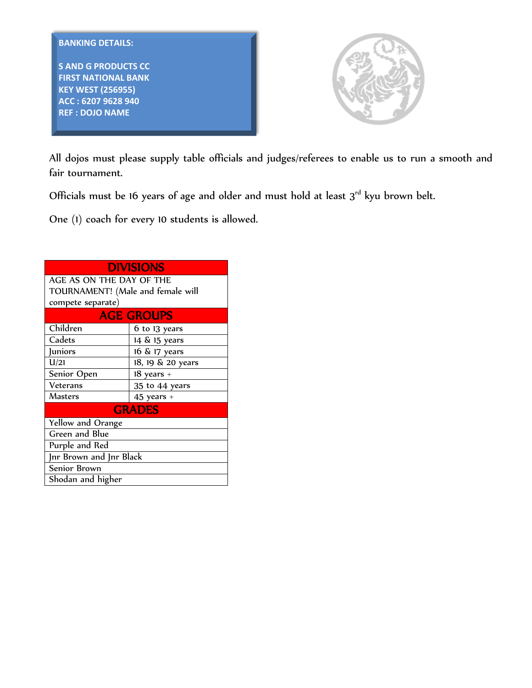

**S AND G PRODUCTS CC FIRST NATIONAL BANK KEY WEST (256955) ACC : 6207 9628 940 REF : DOJO NAME**



All dojos must please supply table officials and judges/referees to enable us to run a smooth and fair tournament.

Officials must be 16 years of age and older and must hold at least  $3<sup>rd</sup>$  kyu brown belt.

One (1) coach for every 10 students is allowed.

| <b>DIVISIONS</b>                  |                   |  |  |  |  |  |  |  |
|-----------------------------------|-------------------|--|--|--|--|--|--|--|
| AGE AS ON THE DAY OF THE          |                   |  |  |  |  |  |  |  |
| TOURNAMENT! (Male and female will |                   |  |  |  |  |  |  |  |
| compete separate)                 |                   |  |  |  |  |  |  |  |
| <b>AGE GROUPS</b>                 |                   |  |  |  |  |  |  |  |
| Children                          | 6 to 13 years     |  |  |  |  |  |  |  |
| Cadets                            | 14 & 15 years     |  |  |  |  |  |  |  |
| <b>Juniors</b>                    | 16 & 17 years     |  |  |  |  |  |  |  |
| U/21                              | 18, 19 & 20 years |  |  |  |  |  |  |  |
| Senior Open                       | $18$ years $+$    |  |  |  |  |  |  |  |
| Veterans                          | 35 to 44 years    |  |  |  |  |  |  |  |
| Masters                           | $45$ years $+$    |  |  |  |  |  |  |  |
|                                   | <b>GRADES</b>     |  |  |  |  |  |  |  |
| Yellow and Orange                 |                   |  |  |  |  |  |  |  |
| Green and Blue                    |                   |  |  |  |  |  |  |  |
| Purple and Red                    |                   |  |  |  |  |  |  |  |
| Jnr Brown and Jnr Black           |                   |  |  |  |  |  |  |  |
| Senior Brown                      |                   |  |  |  |  |  |  |  |
| Shodan and higher                 |                   |  |  |  |  |  |  |  |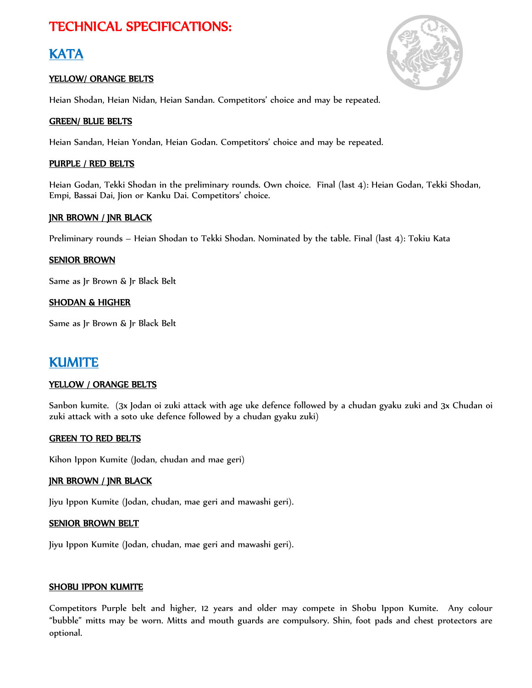## TECHNICAL SPECIFICATIONS:

### **KATA**

#### YELLOW/ ORANGE BELTS

Heian Shodan, Heian Nidan, Heian Sandan. Competitors' choice and may be repeated.

#### GREEN/ BLUE BELTS

Heian Sandan, Heian Yondan, Heian Godan. Competitors' choice and may be repeated.

#### PURPLE / RED BELTS

Heian Godan, Tekki Shodan in the preliminary rounds. Own choice. Final (last 4): Heian Godan, Tekki Shodan, Empi, Bassai Dai, Jion or Kanku Dai. Competitors' choice.

#### JNR BROWN / JNR BLACK

Preliminary rounds – Heian Shodan to Tekki Shodan. Nominated by the table. Final (last 4): Tokiu Kata

#### **SENIOR BROWN**

Same as Jr Brown & Jr Black Belt

#### SHODAN & HIGHER

Same as Jr Brown & Jr Black Belt

### KUMITE

#### YELLOW / ORANGE BELTS

Sanbon kumite. (3x Jodan oi zuki attack with age uke defence followed by a chudan gyaku zuki and 3x Chudan oi zuki attack with a soto uke defence followed by a chudan gyaku zuki)

#### GREEN TO RED BELTS

Kihon Ippon Kumite (Jodan, chudan and mae geri)

#### JNR BROWN / JNR BLACK

Jiyu Ippon Kumite (Jodan, chudan, mae geri and mawashi geri).

#### SENIOR BROWN BELT

Jiyu Ippon Kumite (Jodan, chudan, mae geri and mawashi geri).

#### SHOBU IPPON KUMITE

Competitors Purple belt and higher, 12 years and older may compete in Shobu Ippon Kumite. Any colour "bubble" mitts may be worn. Mitts and mouth guards are compulsory. Shin, foot pads and chest protectors are optional.

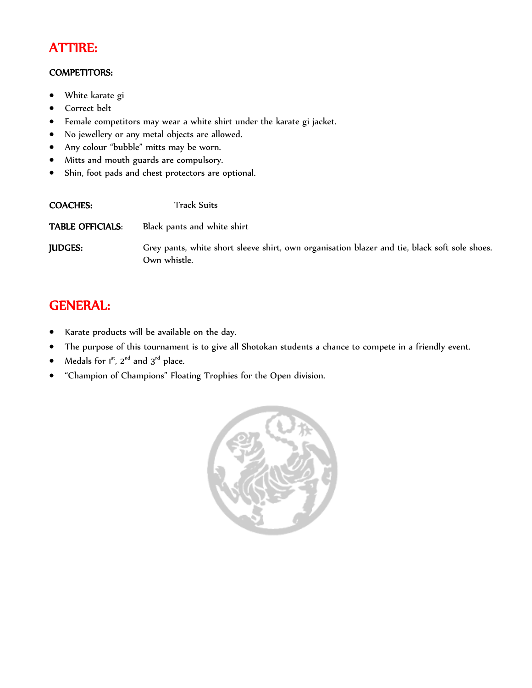## ATTIRE:

#### COMPETITORS:

- White karate gi
- Correct belt
- Female competitors may wear a white shirt under the karate gi jacket.
- No jewellery or any metal objects are allowed.
- Any colour "bubble" mitts may be worn.
- Mitts and mouth guards are compulsory.
- Shin, foot pads and chest protectors are optional.

| <b>COACHES:</b>         | <b>Track Suits</b>                                                                                            |
|-------------------------|---------------------------------------------------------------------------------------------------------------|
| <b>TABLE OFFICIALS:</b> | Black pants and white shirt                                                                                   |
| <b>JUDGES:</b>          | Grey pants, white short sleeve shirt, own organisation blazer and tie, black soft sole shoes.<br>Own whistle. |

## GENERAL:

- Karate products will be available on the day.
- The purpose of this tournament is to give all Shotokan students a chance to compete in a friendly event.
- Medals for  $1^{st}$ ,  $2^{nd}$  and  $3^{rd}$  place.
- "Champion of Champions" Floating Trophies for the Open division.

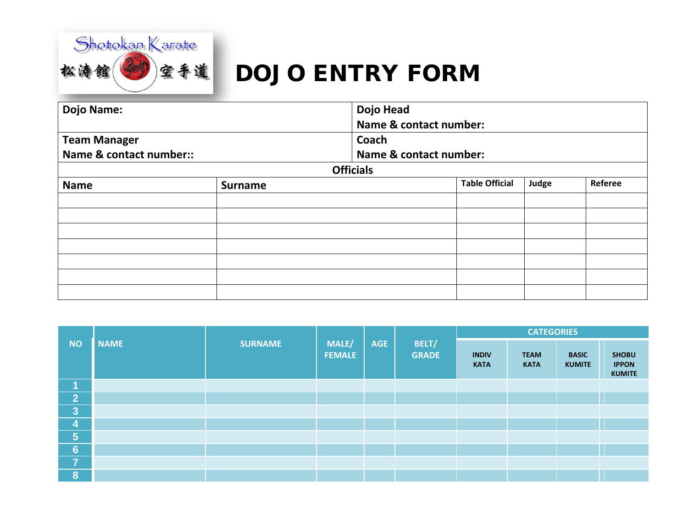

# DOJO ENTRY FORM

| <b>Dojo Name:</b>       | Dojo Head      |                        |                       |       |         |  |  |
|-------------------------|----------------|------------------------|-----------------------|-------|---------|--|--|
|                         |                | Name & contact number: |                       |       |         |  |  |
| <b>Team Manager</b>     |                | Coach                  |                       |       |         |  |  |
| Name & contact number:: |                | Name & contact number: |                       |       |         |  |  |
|                         |                | <b>Officials</b>       |                       |       |         |  |  |
| <b>Name</b>             | <b>Surname</b> |                        | <b>Table Official</b> | Judge | Referee |  |  |
|                         |                |                        |                       |       |         |  |  |
|                         |                |                        |                       |       |         |  |  |
|                         |                |                        |                       |       |         |  |  |
|                         |                |                        |                       |       |         |  |  |
|                         |                |                        |                       |       |         |  |  |
|                         |                |                        |                       |       |         |  |  |
|                         |                |                        |                       |       |         |  |  |

|                         |             |                |                        |            | BELT/<br><b>GRADE</b> | <b>CATEGORIES</b>           |                            |                               |                                               |  |  |
|-------------------------|-------------|----------------|------------------------|------------|-----------------------|-----------------------------|----------------------------|-------------------------------|-----------------------------------------------|--|--|
| <b>NO</b>               | <b>NAME</b> | <b>SURNAME</b> | MALE/<br><b>FEMALE</b> | <b>AGE</b> |                       | <b>INDIV</b><br><b>KATA</b> | <b>TEAM</b><br><b>KATA</b> | <b>BASIC</b><br><b>KUMITE</b> | <b>SHOBU</b><br><b>IPPON</b><br><b>KUMITE</b> |  |  |
| и                       |             |                |                        |            |                       |                             |                            |                               |                                               |  |  |
| 2                       |             |                |                        |            |                       |                             |                            |                               |                                               |  |  |
| $\overline{3}$          |             |                |                        |            |                       |                             |                            |                               |                                               |  |  |
| 4                       |             |                |                        |            |                       |                             |                            |                               |                                               |  |  |
| $\overline{5}$          |             |                |                        |            |                       |                             |                            |                               |                                               |  |  |
| $6\phantom{1}$          |             |                |                        |            |                       |                             |                            |                               |                                               |  |  |
| 7                       |             |                |                        |            |                       |                             |                            |                               |                                               |  |  |
| $\overline{\mathbf{8}}$ |             |                |                        |            |                       |                             |                            |                               |                                               |  |  |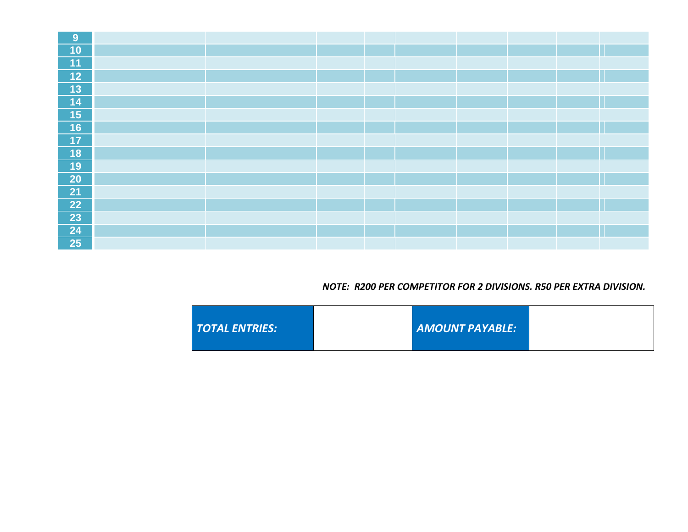| 9                        |  |  |  |  |  |
|--------------------------|--|--|--|--|--|
| 10                       |  |  |  |  |  |
| 11                       |  |  |  |  |  |
| $12$                     |  |  |  |  |  |
| $\overline{13}$          |  |  |  |  |  |
| $\boxed{14}$             |  |  |  |  |  |
| $\overline{\mathbf{15}}$ |  |  |  |  |  |
| 16                       |  |  |  |  |  |
| 17                       |  |  |  |  |  |
| <b>18</b>                |  |  |  |  |  |
| 19                       |  |  |  |  |  |
| <b>20</b>                |  |  |  |  |  |
| 21                       |  |  |  |  |  |
| 22                       |  |  |  |  |  |
| 23                       |  |  |  |  |  |
| 24                       |  |  |  |  |  |
| 25                       |  |  |  |  |  |

#### *NOTE: R200 PER COMPETITOR FOR 2 DIVISIONS. R50 PER EXTRA DIVISION.*

| TOTAL ENTRIES: |  | AMOUNT PAYABLE: |  |
|----------------|--|-----------------|--|
|----------------|--|-----------------|--|